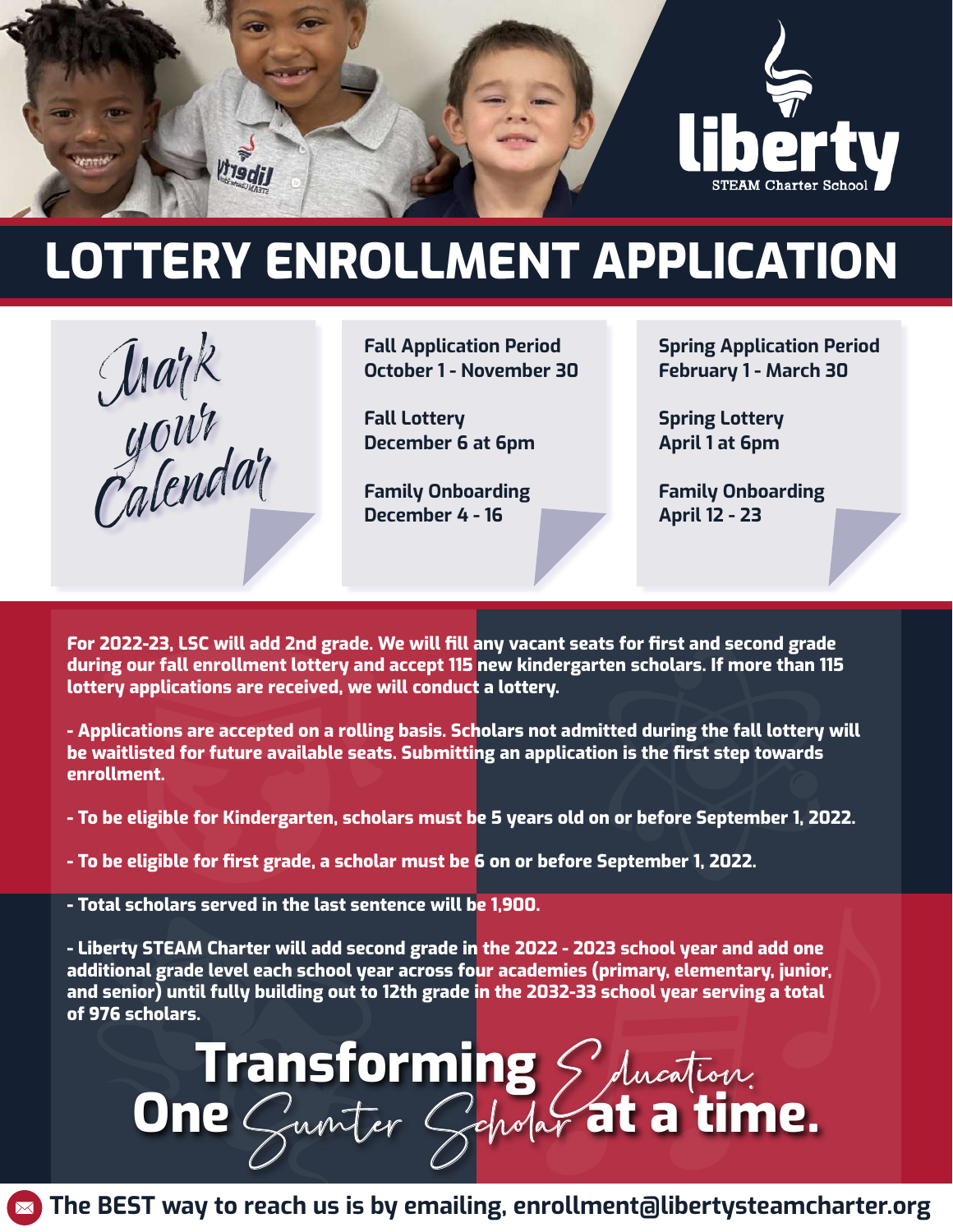

# LOTTERY ENROLLMENT APPLICATION



Fall Application Period October 1 - November 30

Fall Lottery December 6 at 6pm

Family Onboarding December 4 - 16

Spring Application Period February 1 - March 30

Spring Lottery April 1 at 6pm

Family Onboarding April 12 - 23

For 2022-23, LSC will add 2nd grade. We will fill any vacant seats for first and second grade during our fall enrollment lottery and accept 115 new kindergarten scholars. If more than 115 lottery applications are received, we will conduct a lottery.

- Applications are accepted on a rolling basis. Scholars not admitted during the fall lottery will be waitlisted for future available seats. Submitting an application is the first step towards enrollment.

- To be eligible for Kindergarten, scholars must be 5 years old on or before September 1, 2022.

- To be eligible for first grade, a scholar must be 6 on or before September 1, 2022.

- Total scholars served in the last sentence will be 1,900.

- Liberty STEAM Charter will add second grade in the 2022 - 2023 school year and add one additional grade level each school year across four academies (primary, elementary, junior, and senior) until fully building out to 12th grade in the 2032-33 school year serving a total of 976 scholars.

**Transforming** S ducation.

 $\blacktriangleright$  The BEST way to reach us is by emailing, enrollment@libertysteamcharter.org